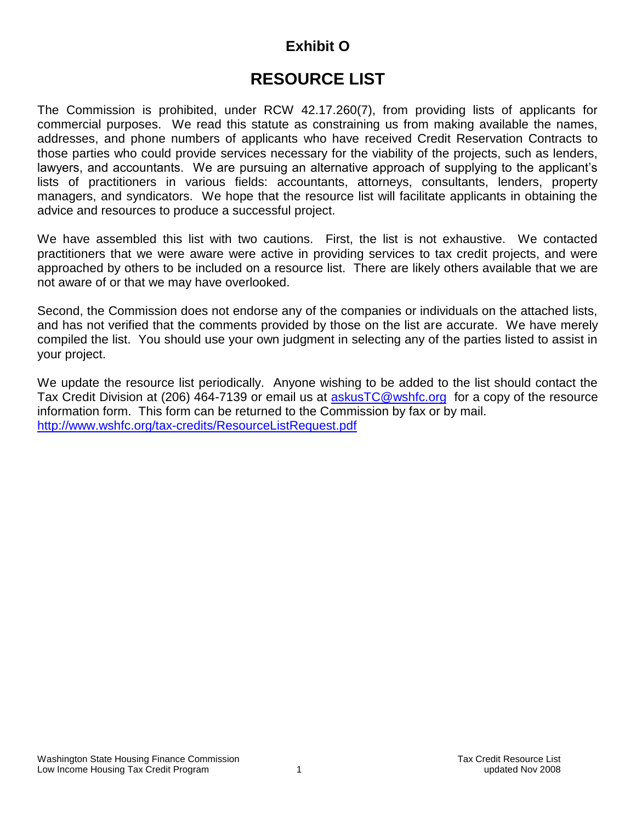# **Exhibit O**

# **RESOURCE LIST**

The Commission is prohibited, under RCW 42.17.260(7), from providing lists of applicants for commercial purposes. We read this statute as constraining us from making available the names, addresses, and phone numbers of applicants who have received Credit Reservation Contracts to those parties who could provide services necessary for the viability of the projects, such as lenders, lawyers, and accountants. We are pursuing an alternative approach of supplying to the applicant's lists of practitioners in various fields: accountants, attorneys, consultants, lenders, property managers, and syndicators. We hope that the resource list will facilitate applicants in obtaining the advice and resources to produce a successful project.

We have assembled this list with two cautions. First, the list is not exhaustive. We contacted practitioners that we were aware were active in providing services to tax credit projects, and were approached by others to be included on a resource list. There are likely others available that we are not aware of or that we may have overlooked.

Second, the Commission does not endorse any of the companies or individuals on the attached lists, and has not verified that the comments provided by those on the list are accurate. We have merely compiled the list. You should use your own judgment in selecting any of the parties listed to assist in your project.

We update the resource list periodically. Anyone wishing to be added to the list should contact the Tax Credit Division at (206) 464-7139 or email us at [askusTC@wshfc.org](mailto:askusTC@wshfc.org) for a copy of the resource information form. This form can be returned to the Commission by fax or by mail. <http://www.wshfc.org/tax-credits/ResourceListRequest.pdf>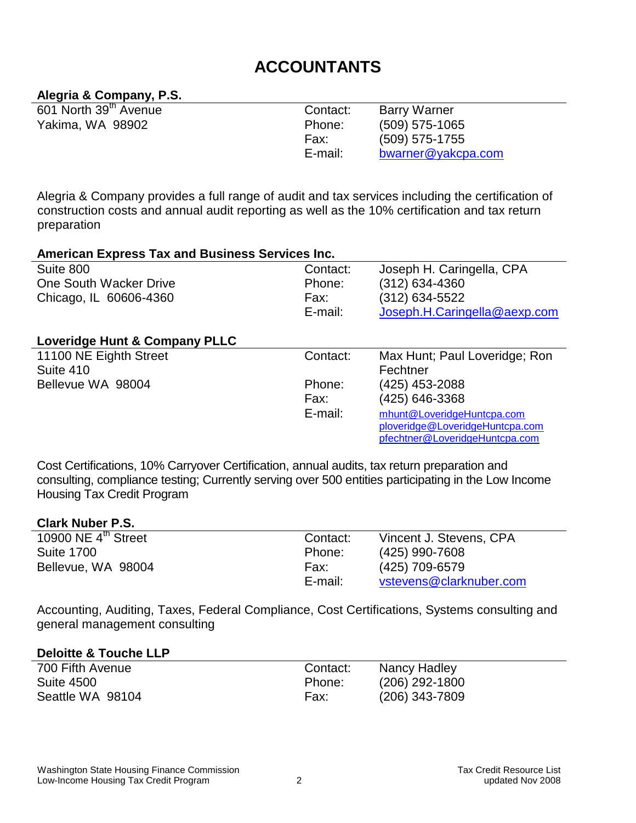# **ACCOUNTANTS**

# **Alegria & Company, P.S.**

601 North 39th Avenue Yakima, WA 98902

Contact: Barry Warner Phone: (509) 575-1065 Fax: (509) 575-1755 E-mail: [bwarner@yakcpa.com](mailto:bwarner@yakcpa.com)

Alegria & Company provides a full range of audit and tax services including the certification of construction costs and annual audit reporting as well as the 10% certification and tax return preparation

| <b>American Express Tax and Business Services Inc.</b> |          |                                 |
|--------------------------------------------------------|----------|---------------------------------|
| Suite 800                                              | Contact: | Joseph H. Caringella, CPA       |
| One South Wacker Drive                                 | Phone:   | $(312)$ 634-4360                |
| Chicago, IL 60606-4360                                 | Fax:     | (312) 634-5522                  |
|                                                        | E-mail:  | Joseph.H.Caringella@aexp.com    |
|                                                        |          |                                 |
| <b>Loveridge Hunt &amp; Company PLLC</b>               |          |                                 |
| 11100 NE Eighth Street                                 | Contact: | Max Hunt; Paul Loveridge; Ron   |
| Suite 410                                              |          | Fechtner                        |
| Bellevue WA 98004                                      | Phone:   | (425) 453-2088                  |
|                                                        | Fax:     | (425) 646-3368                  |
|                                                        | E-mail:  | mhunt@LoveridgeHuntcpa.com      |
|                                                        |          | ploveridge@LoveridgeHuntcpa.com |
|                                                        |          | pfechtner@LoveridgeHuntcpa.com  |

Cost Certifications, 10% Carryover Certification, annual audits, tax return preparation and consulting, compliance testing; Currently serving over 500 entities participating in the Low Income Housing Tax Credit Program

## **Clark Nuber P.S.**

| 10900 NE $4th$ Street | Contact: | Vincent J. Stevens, CPA |
|-----------------------|----------|-------------------------|
| <b>Suite 1700</b>     | Phone:   | (425) 990-7608          |
| Bellevue, WA 98004    | Fax:     | (425) 709-6579          |
|                       | E-mail:  | vstevens@clarknuber.com |

Accounting, Auditing, Taxes, Federal Compliance, Cost Certifications, Systems consulting and general management consulting

## **Deloitte & Touche LLP**

| 700 Fifth Avenue | Contact: | Nancy Hadley   |
|------------------|----------|----------------|
| Suite 4500       | Phone:   | (206) 292-1800 |
| Seattle WA 98104 | Fax:     | (206) 343-7809 |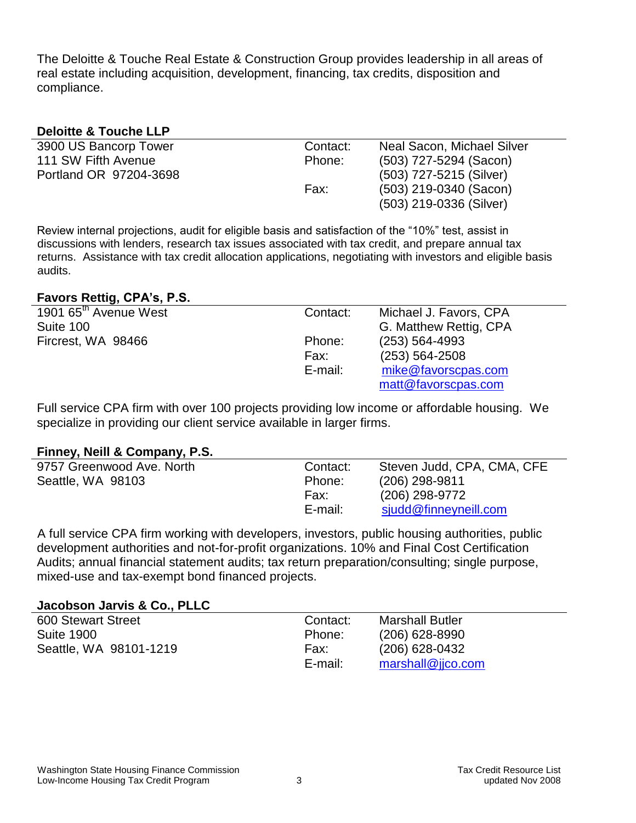The Deloitte & Touche Real Estate & Construction Group provides leadership in all areas of real estate including acquisition, development, financing, tax credits, disposition and compliance.

# **Deloitte & Touche LLP**

| 3900 US Bancorp Tower  | Contact: | Neal Sacon, Michael Silver |
|------------------------|----------|----------------------------|
| 111 SW Fifth Avenue    | Phone:   | (503) 727-5294 (Sacon)     |
| Portland OR 97204-3698 |          | (503) 727-5215 (Silver)    |
|                        | Fax:     | (503) 219-0340 (Sacon)     |
|                        |          | (503) 219-0336 (Silver)    |

Review internal projections, audit for eligible basis and satisfaction of the "10%" test, assist in discussions with lenders, research tax issues associated with tax credit, and prepare annual tax returns. Assistance with tax credit allocation applications, negotiating with investors and eligible basis audits.

## **Favors Rettig, CPA's, P.S.**

| 1901 65 <sup>th</sup> Avenue West | Contact: | Michael J. Favors, CPA |
|-----------------------------------|----------|------------------------|
| Suite 100                         |          | G. Matthew Rettig, CPA |
| Fircrest, WA 98466                | Phone:   | $(253) 564 - 4993$     |
|                                   | Fax:     | $(253) 564 - 2508$     |
|                                   | E-mail:  | mike@favorscpas.com    |
|                                   |          | matt@favorscpas.com    |
|                                   |          |                        |

Full service CPA firm with over 100 projects providing low income or affordable housing. We specialize in providing our client service available in larger firms.

## **Finney, Neill & Company, P.S.**

| 9757 Greenwood Ave. North | Contact: | Steven Judd, CPA, CMA, CFE |
|---------------------------|----------|----------------------------|
| Seattle, WA 98103         | Phone:   | (206) 298-9811             |
|                           | Fax:     | (206) 298-9772             |
|                           | E-mail:  | sjudd@finneyneill.com      |

A full service CPA firm working with developers, investors, public housing authorities, public development authorities and not-for-profit organizations. 10% and Final Cost Certification Audits; annual financial statement audits; tax return preparation/consulting; single purpose, mixed-use and tax-exempt bond financed projects.

## **Jacobson Jarvis & Co., PLLC**

| <b>600 Stewart Street</b> | Contact: | <b>Marshall Butler</b> |
|---------------------------|----------|------------------------|
| <b>Suite 1900</b>         | Phone:   | $(206)$ 628-8990       |
| Seattle, WA 98101-1219    | Fax:     | $(206)$ 628-0432       |
|                           | E-mail:  | marshall@jjco.com      |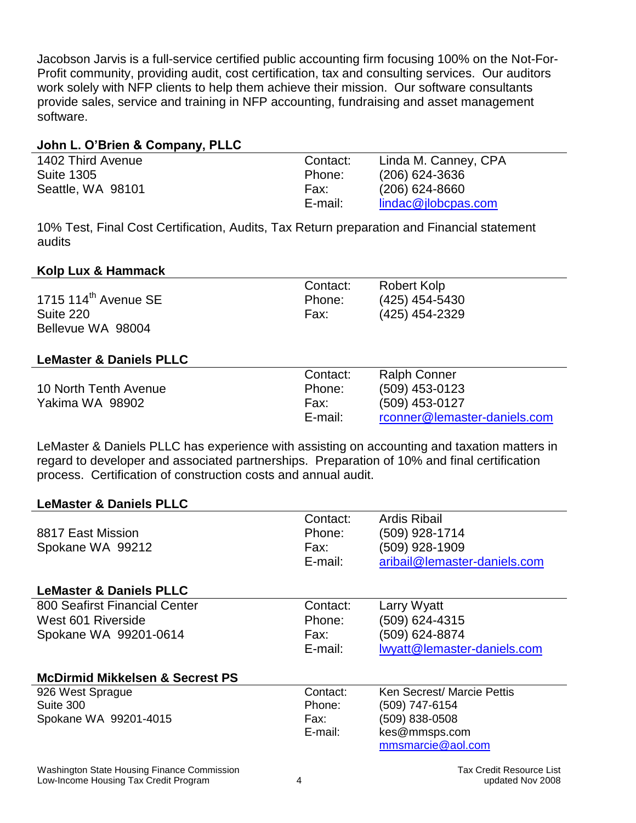Jacobson Jarvis is a full-service certified public accounting firm focusing 100% on the Not-For-Profit community, providing audit, cost certification, tax and consulting services. Our auditors work solely with NFP clients to help them achieve their mission. Our software consultants provide sales, service and training in NFP accounting, fundraising and asset management software.

# **John L. O'Brien & Company, PLLC**

| 1402 Third Avenue | Contact: | Linda M. Canney, CPA |
|-------------------|----------|----------------------|
| <b>Suite 1305</b> | Phone:   | (206) 624-3636       |
| Seattle, WA 98101 | Fax:     | $(206)$ 624-8660     |
|                   | E-mail:  | lindac@ilobcpas.com  |

10% Test, Final Cost Certification, Audits, Tax Return preparation and Financial statement audits

## **Kolp Lux & Hammack**

|                                  | Contact: | Robert Kolp    |
|----------------------------------|----------|----------------|
| 1715 $114^{\text{th}}$ Avenue SE | Phone:   | (425) 454-5430 |
| Suite 220                        | Fax:     | (425) 454-2329 |
| Bellevue WA 98004                |          |                |

## **LeMaster & Daniels PLLC**

|                       | Contact: | <b>Ralph Conner</b>          |
|-----------------------|----------|------------------------------|
| 10 North Tenth Avenue | Phone:   | $(509)$ 453-0123             |
| Yakima WA 98902       | Fax:     | (509) 453-0127               |
|                       | E-mail:  | rconner@lemaster-daniels.com |

LeMaster & Daniels PLLC has experience with assisting on accounting and taxation matters in regard to developer and associated partnerships. Preparation of 10% and final certification process. Certification of construction costs and annual audit.

## **LeMaster & Daniels PLLC**

| 8817 East Mission<br>Spokane WA 99212      | Contact:<br>Phone:<br>Fax:<br>E-mail: | <b>Ardis Ribail</b><br>(509) 928-1714<br>(509) 928-1909<br>aribail@lemaster-daniels.com |
|--------------------------------------------|---------------------------------------|-----------------------------------------------------------------------------------------|
| <b>LeMaster &amp; Daniels PLLC</b>         |                                       |                                                                                         |
| 800 Seafirst Financial Center              | Contact:                              | Larry Wyatt                                                                             |
| West 601 Riverside                         | Phone:                                | (509) 624-4315                                                                          |
| Spokane WA 99201-0614                      | Fax:                                  | (509) 624-8874                                                                          |
|                                            | E-mail:                               | lwyatt@lemaster-daniels.com                                                             |
| <b>McDirmid Mikkelsen &amp; Secrest PS</b> |                                       |                                                                                         |
| 926 West Sprague                           | Contact:                              | Ken Secrest/ Marcie Pettis                                                              |
| Suite 300                                  | Phone:                                | (509) 747-6154                                                                          |
| Spokane WA 99201-4015                      | Fax:                                  | (509) 838-0508                                                                          |
|                                            | E-mail:                               | kes@mmsps.com                                                                           |
|                                            |                                       | mmsmarcie@aol.com                                                                       |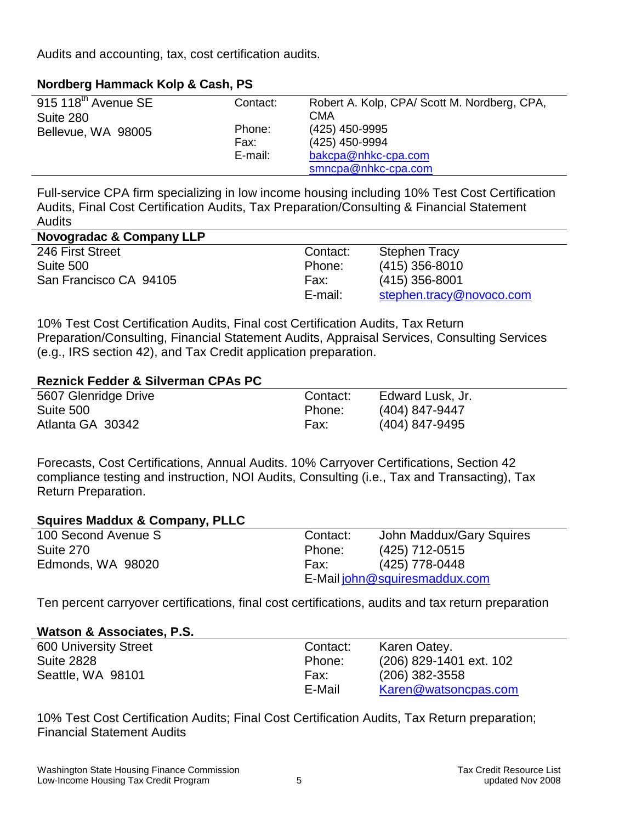Audits and accounting, tax, cost certification audits.

# **Nordberg Hammack Kolp & Cash, PS**

| $915$ 118 <sup>th</sup> Avenue SE | Contact: | Robert A. Kolp, CPA/Scott M. Nordberg, CPA, |
|-----------------------------------|----------|---------------------------------------------|
| Suite 280                         |          | CMA                                         |
| Bellevue, WA 98005                | Phone:   | (425) 450-9995                              |
|                                   | Fax:     | (425) 450-9994                              |
|                                   | E-mail:  | bakcpa@nhkc-cpa.com                         |
|                                   |          | smncpa@nhkc-cpa.com                         |

Full-service CPA firm specializing in low income housing including 10% Test Cost Certification Audits, Final Cost Certification Audits, Tax Preparation/Consulting & Financial Statement Audits

| Novogradac & Company LLP |          |                          |
|--------------------------|----------|--------------------------|
| 246 First Street         | Contact: | <b>Stephen Tracy</b>     |
| Suite 500                | Phone:   | $(415)$ 356-8010         |
| San Francisco CA 94105   | Fax:     | $(415)$ 356-8001         |
|                          | E-mail:  | stephen.tracy@novoco.com |

10% Test Cost Certification Audits, Final cost Certification Audits, Tax Return Preparation/Consulting, Financial Statement Audits, Appraisal Services, Consulting Services (e.g., IRS section 42), and Tax Credit application preparation.

# **Reznick Fedder & Silverman CPAs PC**

| 5607 Glenridge Drive | Contact: | Edward Lusk, Jr. |
|----------------------|----------|------------------|
| Suite 500            | Phone:   | (404) 847-9447   |
| Atlanta GA 30342     | Fax:     | (404) 847-9495   |

Forecasts, Cost Certifications, Annual Audits. 10% Carryover Certifications, Section 42 compliance testing and instruction, NOI Audits, Consulting (i.e., Tax and Transacting), Tax Return Preparation.

# **Squires Maddux & Company, PLLC**

| 100 Second Avenue S | Contact:                      | John Maddux/Gary Squires |
|---------------------|-------------------------------|--------------------------|
| Suite 270           | Phone:                        | (425) 712-0515           |
| Edmonds, WA 98020   | Fax:                          | (425) 778-0448           |
|                     | E-Mail john@squiresmaddux.com |                          |

Ten percent carryover certifications, final cost certifications, audits and tax return preparation

# **Watson & Associates, P.S.**

| <b>600 University Street</b> | Contact: | Karen Oatey.            |
|------------------------------|----------|-------------------------|
| <b>Suite 2828</b>            | Phone:   | (206) 829-1401 ext. 102 |
| Seattle, WA 98101            | Fax:     | $(206)$ 382-3558        |
|                              | E-Mail   | Karen@watsoncpas.com    |

10% Test Cost Certification Audits; Final Cost Certification Audits, Tax Return preparation; Financial Statement Audits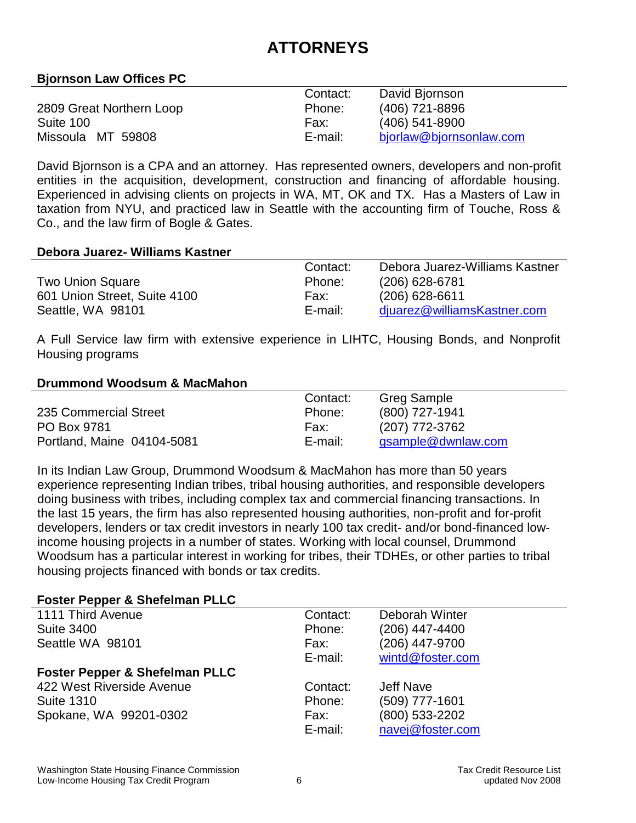# **ATTORNEYS**

# **Bjornson Law Offices PC**

|                          | Contact: | David Bjornson          |
|--------------------------|----------|-------------------------|
| 2809 Great Northern Loop | Phone:   | (406) 721-8896          |
| Suite 100                | Fax:     | $(406)$ 541-8900        |
| Missoula MT 59808        | E-mail:  | bjorlaw@bjornsonlaw.com |

David Bjornson is a CPA and an attorney. Has represented owners, developers and non-profit entities in the acquisition, development, construction and financing of affordable housing. Experienced in advising clients on projects in WA, MT, OK and TX. Has a Masters of Law in taxation from NYU, and practiced law in Seattle with the accounting firm of Touche, Ross & Co., and the law firm of Bogle & Gates.

#### **Debora Juarez- Williams Kastner**

|                              | Contact: | Debora Juarez-Williams Kastner |
|------------------------------|----------|--------------------------------|
| <b>Two Union Square</b>      | Phone:   | $(206)$ 628-6781               |
| 601 Union Street, Suite 4100 | Fax:     | $(206)$ 628-6611               |
| Seattle, WA 98101            | E-mail:  | djuarez@williamsKastner.com    |

A Full Service law firm with extensive experience in LIHTC, Housing Bonds, and Nonprofit Housing programs

#### **Drummond Woodsum & MacMahon**

|                            | Contact: | <b>Greg Sample</b> |
|----------------------------|----------|--------------------|
| 235 Commercial Street      | Phone:   | (800) 727-1941     |
| PO Box 9781                | Fax:     | (207) 772-3762     |
| Portland, Maine 04104-5081 | E-mail:  | gsample@dwnlaw.com |

In its Indian Law Group, Drummond Woodsum & MacMahon has more than 50 years experience representing Indian tribes, tribal housing authorities, and responsible developers doing business with tribes, including complex tax and commercial financing transactions. In the last 15 years, the firm has also represented housing authorities, non-profit and for-profit developers, lenders or tax credit investors in nearly 100 tax credit- and/or bond-financed lowincome housing projects in a number of states. Working with local counsel, Drummond Woodsum has a particular interest in working for tribes, their TDHEs, or other parties to tribal housing projects financed with bonds or tax credits.

## **Foster Pepper & Shefelman PLLC**

| 1111 Third Avenue                         | Contact: | Deborah Winter   |
|-------------------------------------------|----------|------------------|
| <b>Suite 3400</b>                         | Phone:   | (206) 447-4400   |
| Seattle WA 98101                          | Fax:     | (206) 447-9700   |
|                                           | E-mail:  | wintd@foster.com |
| <b>Foster Pepper &amp; Shefelman PLLC</b> |          |                  |
| 422 West Riverside Avenue                 | Contact: | <b>Jeff Nave</b> |
| <b>Suite 1310</b>                         | Phone:   | (509) 777-1601   |
| Spokane, WA 99201-0302                    | Fax:     | (800) 533-2202   |
|                                           | E-mail:  | navej@foster.com |
|                                           |          |                  |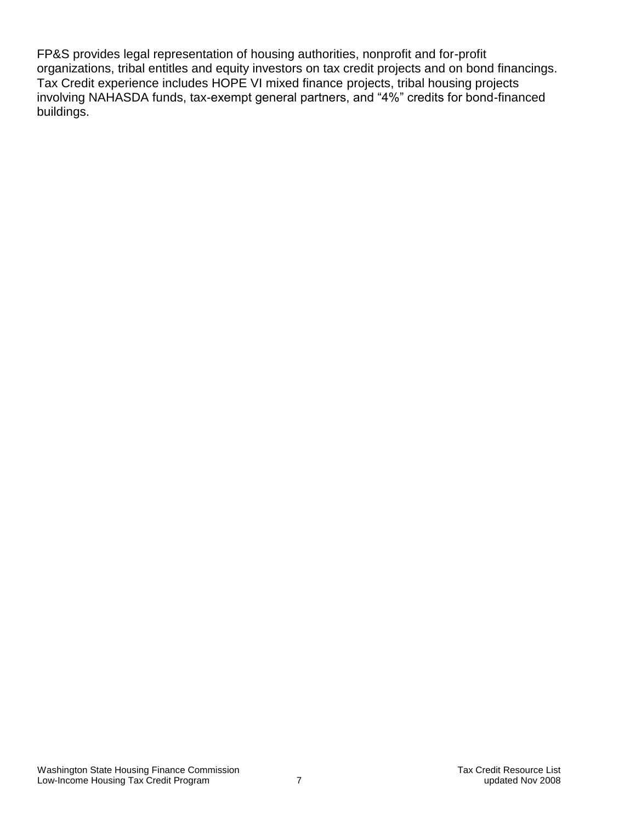FP&S provides legal representation of housing authorities, nonprofit and for-profit organizations, tribal entitles and equity investors on tax credit projects and on bond financings. Tax Credit experience includes HOPE VI mixed finance projects, tribal housing projects involving NAHASDA funds, tax-exempt general partners, and "4%" credits for bond-financed buildings.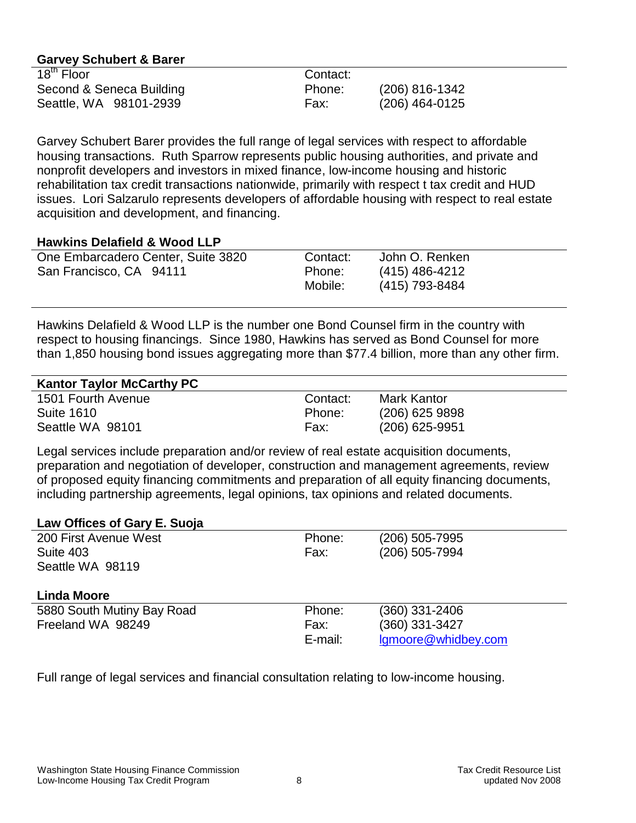| <b>Garvey Schubert &amp; Barer</b> |                            |
|------------------------------------|----------------------------|
| 18 <sup>th</sup> Floor             | Contact:                   |
| Second & Seneca Building           | $(206)$ 816-1342<br>Phone: |
| Seattle, WA 98101-2939             | $(206)$ 464-0125<br>Fax:   |

Garvey Schubert Barer provides the full range of legal services with respect to affordable housing transactions. Ruth Sparrow represents public housing authorities, and private and nonprofit developers and investors in mixed finance, low-income housing and historic rehabilitation tax credit transactions nationwide, primarily with respect t tax credit and HUD issues. Lori Salzarulo represents developers of affordable housing with respect to real estate acquisition and development, and financing.

# **Hawkins Delafield & Wood LLP**

| One Embarcadero Center, Suite 3820 | Contact: | John O. Renken |
|------------------------------------|----------|----------------|
|                                    |          |                |
| San Francisco, CA 94111            | Phone:   | (415) 486-4212 |
|                                    | Mobile:  | (415) 793-8484 |

Hawkins Delafield & Wood LLP is the number one Bond Counsel firm in the country with respect to housing financings. Since 1980, Hawkins has served as Bond Counsel for more than 1,850 housing bond issues aggregating more than \$77.4 billion, more than any other firm.

## **Kantor Taylor McCarthy PC**

| 1501 Fourth Avenue | Contact: | Mark Kantor      |
|--------------------|----------|------------------|
| <b>Suite 1610</b>  | Phone:   | $(206)$ 625 9898 |
| Seattle WA 98101   | Fax:     | $(206)$ 625-9951 |

Legal services include preparation and/or review of real estate acquisition documents, preparation and negotiation of developer, construction and management agreements, review of proposed equity financing commitments and preparation of all equity financing documents, including partnership agreements, legal opinions, tax opinions and related documents.

# **Law Offices of Gary E. Suoja**

| 200 First Avenue West      | Phone:  | (206) 505-7995      |
|----------------------------|---------|---------------------|
| Suite 403                  | Fax:    | (206) 505-7994      |
| Seattle WA 98119           |         |                     |
|                            |         |                     |
| <b>Linda Moore</b>         |         |                     |
| 5880 South Mutiny Bay Road | Phone:  | (360) 331-2406      |
| Freeland WA 98249          | Fax:    | (360) 331-3427      |
|                            | E-mail: | Igmoore@whidbey.com |

Full range of legal services and financial consultation relating to low-income housing.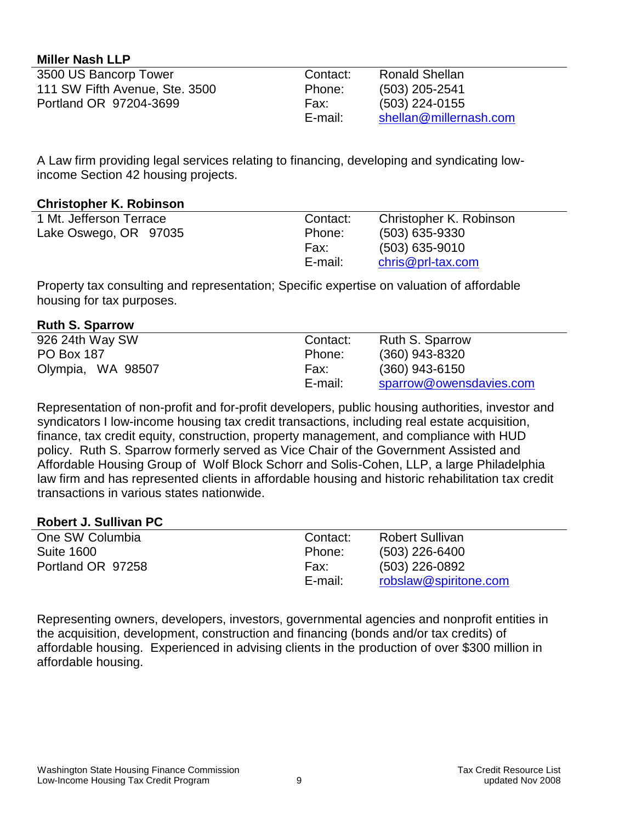## **Miller Nash LLP**

| 3500 US Bancorp Tower          | Contact: | <b>Ronald Shellan</b>  |
|--------------------------------|----------|------------------------|
| 111 SW Fifth Avenue, Ste. 3500 | Phone:   | $(503)$ 205-2541       |
| Portland OR 97204-3699         | Fax:     | $(503)$ 224-0155       |
|                                | E-mail:  | shellan@millernash.com |

A Law firm providing legal services relating to financing, developing and syndicating lowincome Section 42 housing projects.

## **Christopher K. Robinson**

| 1 Mt. Jefferson Terrace | Contact: | Christopher K. Robinson |
|-------------------------|----------|-------------------------|
| Lake Oswego, OR 97035   | Phone:   | $(503)$ 635-9330        |
|                         | Fax:     | $(503)$ 635-9010        |
|                         | E-mail:  | $chris@prl-tax.com$     |
|                         |          |                         |

Property tax consulting and representation; Specific expertise on valuation of affordable housing for tax purposes.

## **Ruth S. Sparrow**

| 926 24th Way SW   | Contact: | Ruth S. Sparrow         |
|-------------------|----------|-------------------------|
| <b>PO Box 187</b> | Phone:   | $(360)$ 943-8320        |
| Olympia, WA 98507 | Fax:     | $(360)$ 943-6150        |
|                   | E-mail:  | sparrow@owensdavies.com |

Representation of non-profit and for-profit developers, public housing authorities, investor and syndicators I low-income housing tax credit transactions, including real estate acquisition, finance, tax credit equity, construction, property management, and compliance with HUD policy. Ruth S. Sparrow formerly served as Vice Chair of the Government Assisted and Affordable Housing Group of Wolf Block Schorr and Solis-Cohen, LLP, a large Philadelphia law firm and has represented clients in affordable housing and historic rehabilitation tax credit transactions in various states nationwide.

# **Robert J. Sullivan PC**

| One SW Columbia   | Contact: | <b>Robert Sullivan</b> |
|-------------------|----------|------------------------|
| <b>Suite 1600</b> | Phone:   | $(503)$ 226-6400       |
| Portland OR 97258 | Fax:     | (503) 226-0892         |
|                   | E-mail:  | robslaw@spiritone.com  |

Representing owners, developers, investors, governmental agencies and nonprofit entities in the acquisition, development, construction and financing (bonds and/or tax credits) of affordable housing. Experienced in advising clients in the production of over \$300 million in affordable housing.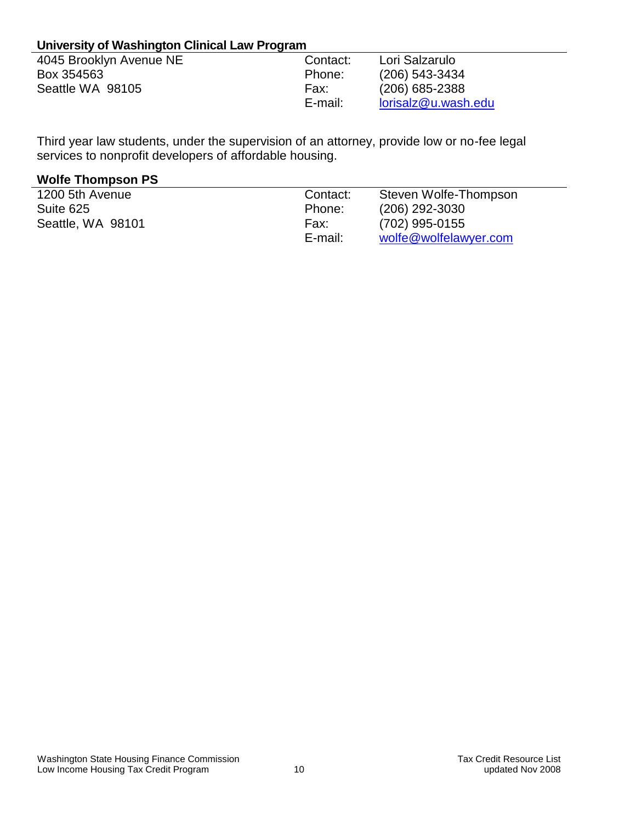# **University of Washington Clinical Law Program**

| 4045 Brooklyn Avenue NE | Contact: | Lori Salzarulo      |
|-------------------------|----------|---------------------|
| Box 354563              | Phone:   | $(206)$ 543-3434    |
| Seattle WA 98105        | Fax:     | $(206)$ 685-2388    |
|                         | E-mail:  | lorisalz@u.wash.edu |
|                         |          |                     |

Third year law students, under the supervision of an attorney, provide low or no-fee legal services to nonprofit developers of affordable housing.

# **Wolfe Thompson PS**

| 1200 5th Avenue   | Contact:        | Steven Wolfe-Thompson |
|-------------------|-----------------|-----------------------|
| Suite 625         | Phone:          | (206) 292-3030        |
| Seattle, WA 98101 | Fax:<br>E-mail: | (702) 995-0155        |
|                   |                 | wolfe@wolfelawyer.com |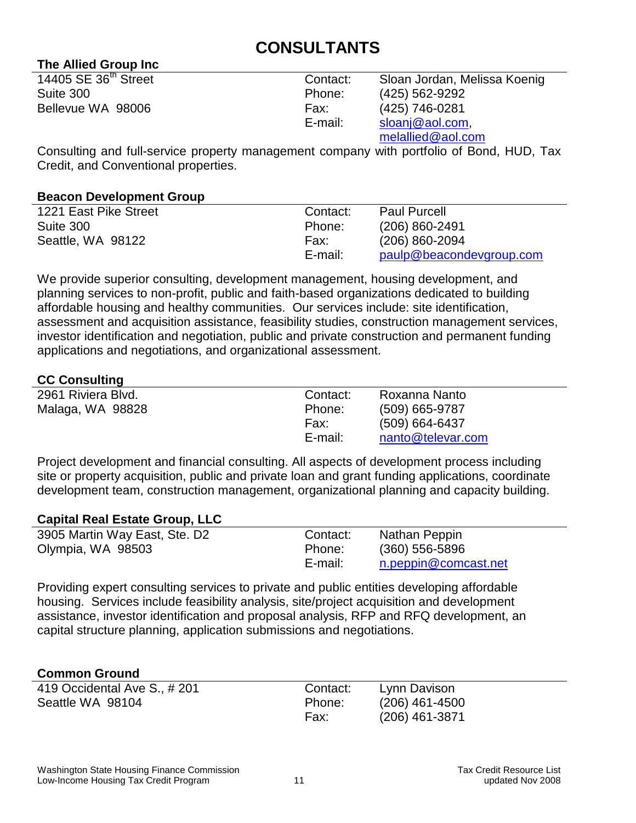# **CONSULTANTS**

# **The Allied Group Inc**

| 14405 SE 36 <sup>th</sup> Street | Contact: | Sloan Jordan, Melissa Koenig |
|----------------------------------|----------|------------------------------|
| Suite 300                        | Phone:   | (425) 562-9292               |
| Bellevue WA 98006                | Fax:     | (425) 746-0281               |
|                                  | E-mail:  | sloanj@aol.com               |
|                                  |          | melallied@aol.com            |

Consulting and full-service property management company with portfolio of Bond, HUD, Tax Credit, and Conventional properties.

## **Beacon Development Group**

| 1221 East Pike Street | Contact: | <b>Paul Purcell</b>      |
|-----------------------|----------|--------------------------|
| Suite 300             | Phone:   | $(206)$ 860-2491         |
| Seattle, WA 98122     | Fax:     | $(206) 860 - 2094$       |
|                       | E-mail:  | paulp@beacondevgroup.com |
|                       |          |                          |

We provide superior consulting, development management, housing development, and planning services to non-profit, public and faith-based organizations dedicated to building affordable housing and healthy communities. Our services include: site identification, assessment and acquisition assistance, feasibility studies, construction management services, investor identification and negotiation, public and private construction and permanent funding applications and negotiations, and organizational assessment.

# **CC Consulting**

| 2961 Riviera Blvd. | Contact: | Roxanna Nanto     |
|--------------------|----------|-------------------|
| Malaga, WA 98828   | Phone:   | (509) 665-9787    |
|                    | Fax:     | (509) 664-6437    |
|                    | E-mail:  | nanto@televar.com |

Project development and financial consulting. All aspects of development process including site or property acquisition, public and private loan and grant funding applications, coordinate development team, construction management, organizational planning and capacity building.

# **Capital Real Estate Group, LLC**

| 3905 Martin Way East, Ste. D2 | Contact: | Nathan Peppin        |
|-------------------------------|----------|----------------------|
| Olympia, WA 98503             | Phone:   | $(360)$ 556-5896     |
|                               | E-mail:  | n.peppin@comcast.net |

Providing expert consulting services to private and public entities developing affordable housing. Services include feasibility analysis, site/project acquisition and development assistance, investor identification and proposal analysis, RFP and RFQ development, an capital structure planning, application submissions and negotiations.

# **Common Ground**

419 Occidental Ave S., # 201 Seattle WA 98104

Contact: Lynn Davison Phone: (206) 461-4500 Fax: (206) 461-3871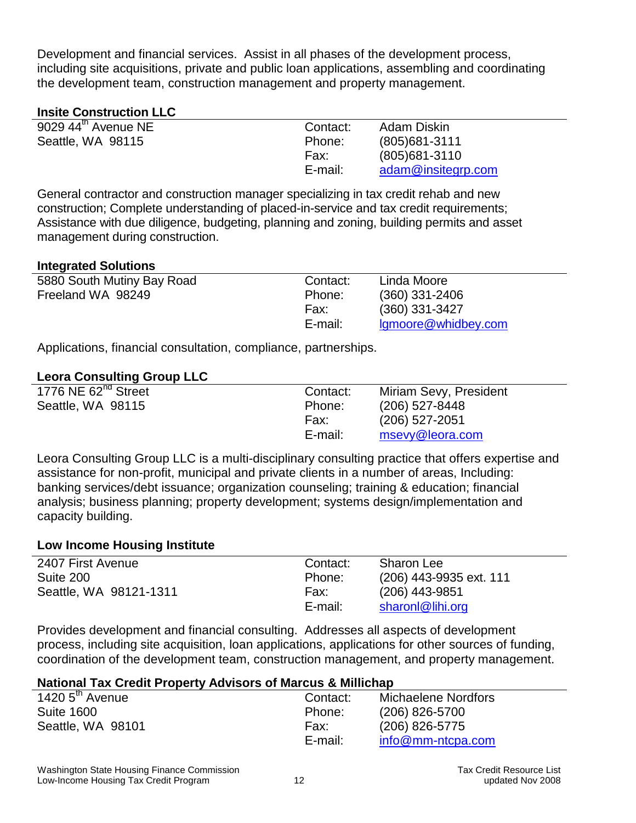Development and financial services. Assist in all phases of the development process, including site acquisitions, private and public loan applications, assembling and coordinating the development team, construction management and property management.

# **Insite Construction LLC**

| $9029$ 44 <sup>th</sup> Avenue NE | Contact: | Adam Diskin        |
|-----------------------------------|----------|--------------------|
| Seattle, WA 98115                 | Phone:   | $(805)681 - 3111$  |
|                                   | Fax:     | $(805)681 - 3110$  |
|                                   | E-mail:  | adam@insitegrp.com |

General contractor and construction manager specializing in tax credit rehab and new construction; Complete understanding of placed-in-service and tax credit requirements; Assistance with due diligence, budgeting, planning and zoning, building permits and asset management during construction.

## **Integrated Solutions**

| 5880 South Mutiny Bay Road | Contact:       | Linda Moore                          |
|----------------------------|----------------|--------------------------------------|
| Freeland WA 98249          | Phone:<br>Fax: | $(360)$ 331-2406<br>$(360)$ 331-3427 |
|                            | E-mail:        | Igmoore@whidbey.com                  |

Applications, financial consultation, compliance, partnerships.

## **Leora Consulting Group LLC**

| 1776 NE 62 <sup>nd</sup> Street | Contact: | Miriam Sevy, President |
|---------------------------------|----------|------------------------|
| Seattle, WA 98115               | Phone:   | $(206)$ 527-8448       |
|                                 | Fax:     | $(206)$ 527-2051       |
|                                 | E-mail:  | msevy@leora.com        |

Leora Consulting Group LLC is a multi-disciplinary consulting practice that offers expertise and assistance for non-profit, municipal and private clients in a number of areas, Including: banking services/debt issuance; organization counseling; training & education; financial analysis; business planning; property development; systems design/implementation and capacity building.

## **Low Income Housing Institute**

| 2407 First Avenue      | Contact:        | Sharon Lee                         |
|------------------------|-----------------|------------------------------------|
| Suite 200              | Phone:          | (206) 443-9935 ext. 111            |
| Seattle, WA 98121-1311 | Fax:<br>E-mail: | (206) 443-9851<br>sharonl@lihi.org |

Provides development and financial consulting. Addresses all aspects of development process, including site acquisition, loan applications, applications for other sources of funding, coordination of the development team, construction management, and property management.

# **National Tax Credit Property Advisors of Marcus & Millichap**

| 1420 $5^{\text{th}}$ Avenue | Contact: | Michaelene Nordfors        |
|-----------------------------|----------|----------------------------|
| <b>Suite 1600</b>           | Phone:   | $(206)$ 826-5700           |
| Seattle, WA 98101           | Fax:     | (206) 826-5775             |
|                             | E-mail:  | $info@mm\text{-}ntcpa.com$ |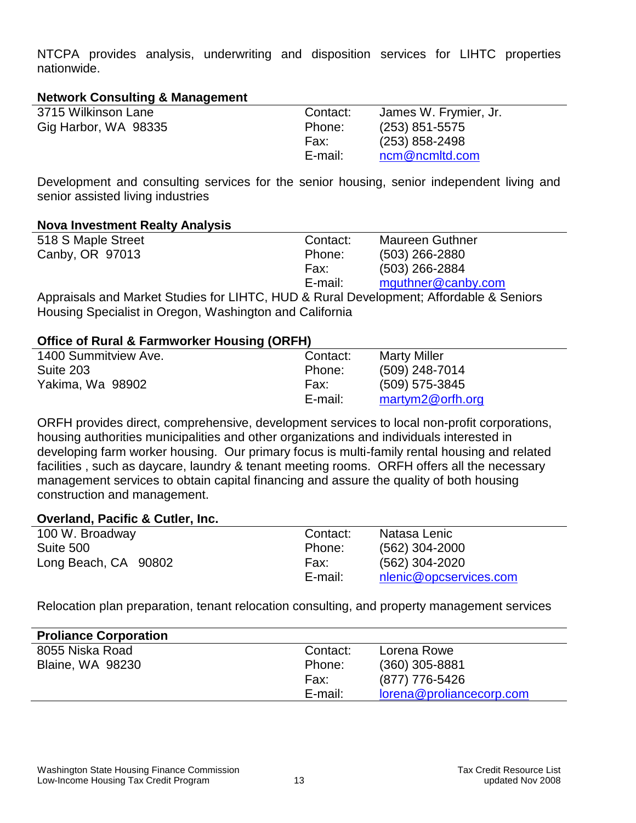NTCPA provides analysis, underwriting and disposition services for LIHTC properties nationwide.

## **Network Consulting & Management**

| 3715 Wilkinson Lane  | Contact: | James W. Frymier, Jr. |
|----------------------|----------|-----------------------|
| Gig Harbor, WA 98335 | Phone:   | $(253)$ 851-5575      |
|                      | Fax:     | $(253)$ 858-2498      |
|                      | E-mail:  | ncm@ncmltd.com        |

Development and consulting services for the senior housing, senior independent living and senior assisted living industries

## **Nova Investment Realty Analysis**

| Contact:                                                                               | <b>Maureen Guthner</b> |  |
|----------------------------------------------------------------------------------------|------------------------|--|
| Phone:                                                                                 | $(503)$ 266-2880       |  |
| Fax:                                                                                   | $(503)$ 266-2884       |  |
| E-mail:                                                                                | mguthner@canby.com     |  |
| Appraisals and Market Studies for LIHTC, HUD & Rural Development; Affordable & Seniors |                        |  |
|                                                                                        |                        |  |

Housing Specialist in Oregon, Washington and California

# **Office of Rural & Farmworker Housing (ORFH)**

| 1400 Summitview Ave. | Contact: | <b>Marty Miller</b> |
|----------------------|----------|---------------------|
| Suite 203            | Phone:   | (509) 248-7014      |
| Yakima, Wa 98902     | Fax:     | $(509)$ 575-3845    |
|                      | E-mail:  | martym2@orfh.org    |

ORFH provides direct, comprehensive, development services to local non-profit corporations, housing authorities municipalities and other organizations and individuals interested in developing farm worker housing. Our primary focus is multi-family rental housing and related facilities , such as daycare, laundry & tenant meeting rooms. ORFH offers all the necessary management services to obtain capital financing and assure the quality of both housing construction and management.

## **Overland, Pacific & Cutler, Inc.**

| 100 W. Broadway      | Contact:        | Natasa Lenic                             |
|----------------------|-----------------|------------------------------------------|
| Suite 500            | Phone:          | (562) 304-2000                           |
| Long Beach, CA 90802 | Fax:<br>E-mail: | (562) 304-2020<br>nlenic@opcservices.com |

Relocation plan preparation, tenant relocation consulting, and property management services

| Contact: | Lorena Rowe              |
|----------|--------------------------|
| Phone:   | $(360)$ 305-8881         |
| Fax:     | (877) 776-5426           |
| E-mail:  | lorena@proliancecorp.com |
|          |                          |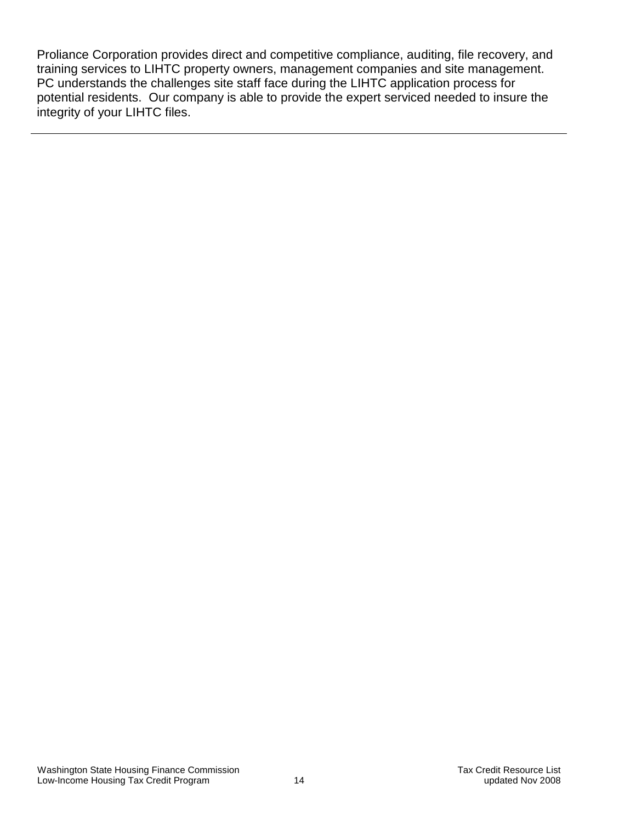Proliance Corporation provides direct and competitive compliance, auditing, file recovery, and training services to LIHTC property owners, management companies and site management. PC understands the challenges site staff face during the LIHTC application process for potential residents. Our company is able to provide the expert serviced needed to insure the integrity of your LIHTC files.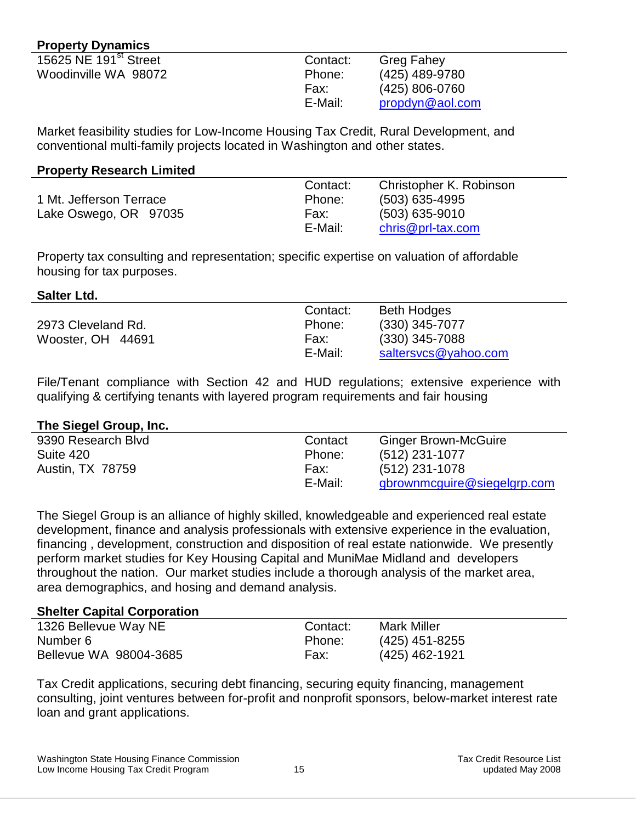# **Property Dynamics**

| 15625 NE 191 <sup>st</sup> Street | Contact: | <b>Greg Fahey</b> |
|-----------------------------------|----------|-------------------|
| Woodinville WA 98072              | Phone:   | (425) 489-9780    |
|                                   | Fax:     | (425) 806-0760    |
|                                   | E-Mail:  | propdyn@aol.com   |
|                                   |          |                   |

Market feasibility studies for Low-Income Housing Tax Credit, Rural Development, and conventional multi-family projects located in Washington and other states.

# **Property Research Limited**

|                         | Contact: | Christopher K. Robinson |
|-------------------------|----------|-------------------------|
| 1 Mt. Jefferson Terrace | Phone:   | (503) 635-4995          |
| Lake Oswego, OR 97035   | Fax:     | $(503)$ 635-9010        |
|                         | E-Mail:  | $chris@prl-tax.com$     |

Property tax consulting and representation; specific expertise on valuation of affordable housing for tax purposes.

## **Salter Ltd.**

|                    | Contact: | <b>Beth Hodges</b>   |
|--------------------|----------|----------------------|
| 2973 Cleveland Rd. | Phone:   | $(330)$ 345-7077     |
| Wooster, OH 44691  | Fax:     | $(330)$ 345-7088     |
|                    | E-Mail:  | saltersvcs@yahoo.com |

File/Tenant compliance with Section 42 and HUD regulations; extensive experience with qualifying & certifying tenants with layered program requirements and fair housing

# **The Siegel Group, Inc.**

| 9390 Research Blvd      | Contact | <b>Ginger Brown-McGuire</b> |
|-------------------------|---------|-----------------------------|
| Suite 420               | Phone:  | $(512)$ 231-1077            |
| <b>Austin, TX 78759</b> | Fax:    | (512) 231-1078              |
|                         | E-Mail: | gbrownmcguire@siegelgrp.com |
|                         |         |                             |

The Siegel Group is an alliance of highly skilled, knowledgeable and experienced real estate development, finance and analysis professionals with extensive experience in the evaluation, financing , development, construction and disposition of real estate nationwide. We presently perform market studies for Key Housing Capital and MuniMae Midland and developers throughout the nation. Our market studies include a thorough analysis of the market area, area demographics, and hosing and demand analysis.

# **Shelter Capital Corporation**

| Contact: | Mark Miller      |
|----------|------------------|
| Phone:   | $(425)$ 451-8255 |
| Fax:     | $(425)$ 462-1921 |
|          |                  |

Tax Credit applications, securing debt financing, securing equity financing, management consulting, joint ventures between for-profit and nonprofit sponsors, below-market interest rate loan and grant applications.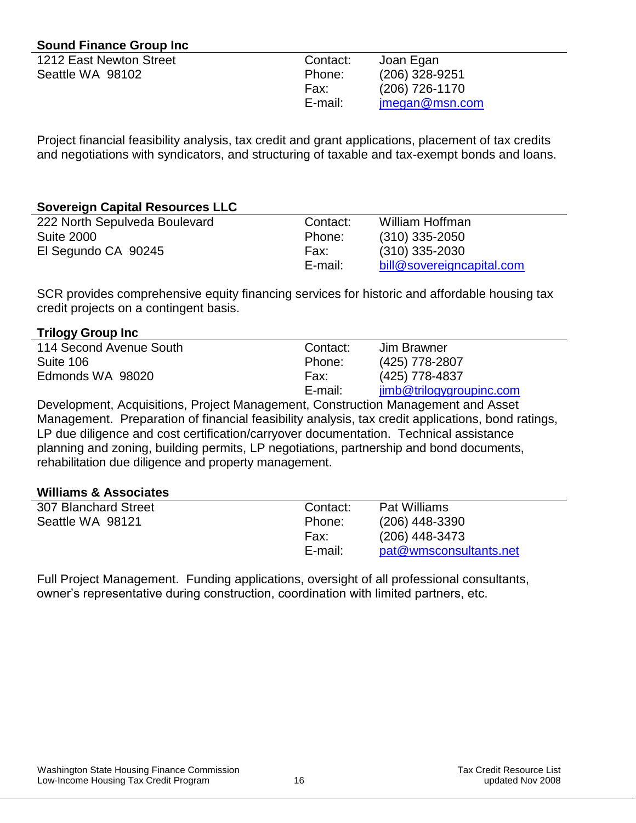# **Sound Finance Group Inc**

| 1212 East Newton Street | Contact: | Joan Egan      |
|-------------------------|----------|----------------|
| Seattle WA 98102        | Phone:   | (206) 328-9251 |
|                         | Fax:     | (206) 726-1170 |
|                         | E-mail:  | jmegan@msn.com |
|                         |          |                |

Project financial feasibility analysis, tax credit and grant applications, placement of tax credits and negotiations with syndicators, and structuring of taxable and tax-exempt bonds and loans.

# **Sovereign Capital Resources LLC**

| 222 North Sepulveda Boulevard | Contact: | William Hoffman           |
|-------------------------------|----------|---------------------------|
| Suite 2000                    | Phone:   | $(310)$ 335-2050          |
| El Segundo CA 90245           | Fax:     | $(310)$ 335-2030          |
|                               | E-mail:  | bill@sovereigncapital.com |

SCR provides comprehensive equity financing services for historic and affordable housing tax credit projects on a contingent basis.

## **Trilogy Group Inc**

| --                      |          |                          |
|-------------------------|----------|--------------------------|
| 114 Second Avenue South | Contact: | Jim Brawner              |
| Suite 106               | Phone:   | (425) 778-2807           |
| Edmonds WA 98020        | Fax:     | (425) 778-4837           |
|                         | E-mail:  | jimb@trilogygroupinc.com |

Development, Acquisitions, Project Management, Construction Management and Asset Management. Preparation of financial feasibility analysis, tax credit applications, bond ratings, LP due diligence and cost certification/carryover documentation. Technical assistance planning and zoning, building permits, LP negotiations, partnership and bond documents, rehabilitation due diligence and property management.

## **Williams & Associates**

| 307 Blanchard Street | Contact:        | Pat Williams                               |
|----------------------|-----------------|--------------------------------------------|
| Seattle WA 98121     | Phone:          | $(206)$ 448-3390                           |
|                      | Fax:<br>E-mail: | $(206)$ 448-3473<br>pat@wmsconsultants.net |

Full Project Management. Funding applications, oversight of all professional consultants, owner's representative during construction, coordination with limited partners, etc.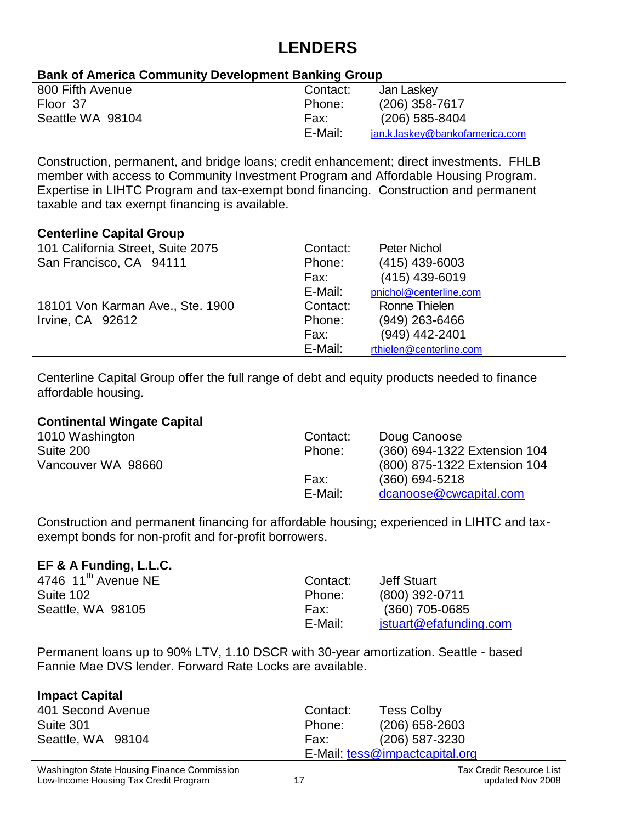# **LENDERS**

# **Bank of America Community Development Banking Group**

| 800 Fifth Avenue | Contact: | Jan Laskey                     |
|------------------|----------|--------------------------------|
| Floor 37         | Phone:   | $(206)$ 358-7617               |
| Seattle WA 98104 | Fax:     | (206) 585-8404                 |
|                  | E-Mail:  | jan.k.laskey@bankofamerica.com |

Construction, permanent, and bridge loans; credit enhancement; direct investments. FHLB member with access to Community Investment Program and Affordable Housing Program. Expertise in LIHTC Program and tax-exempt bond financing. Construction and permanent taxable and tax exempt financing is available.

## **Centerline Capital Group**

| 101 California Street, Suite 2075 | Contact: | <b>Peter Nichol</b>     |
|-----------------------------------|----------|-------------------------|
| San Francisco, CA 94111           | Phone:   | $(415)$ 439-6003        |
|                                   | Fax:     | $(415)$ 439-6019        |
|                                   | E-Mail:  | pnichol@centerline.com  |
| 18101 Von Karman Ave., Ste. 1900  | Contact: | Ronne Thielen           |
| Irvine, CA 92612                  | Phone:   | (949) 263-6466          |
|                                   | Fax:     | (949) 442-2401          |
|                                   | E-Mail:  | rthielen@centerline.com |

Centerline Capital Group offer the full range of debt and equity products needed to finance affordable housing.

## **Continental Wingate Capital**

| 1010 Washington    | Contact: | Doug Canoose                 |
|--------------------|----------|------------------------------|
| Suite 200          | Phone:   | (360) 694-1322 Extension 104 |
| Vancouver WA 98660 |          | (800) 875-1322 Extension 104 |
|                    | Fax:     | $(360)$ 694-5218             |
|                    | E-Mail:  | dcanoose@cwcapital.com       |
|                    |          |                              |

Construction and permanent financing for affordable housing; experienced in LIHTC and taxexempt bonds for non-profit and for-profit borrowers.

# **EF & A Funding, L.L.C.**

| $\cdot$                         |          |                        |  |
|---------------------------------|----------|------------------------|--|
| 4746 $11^{\text{th}}$ Avenue NE | Contact: | <b>Jeff Stuart</b>     |  |
| Suite 102                       | Phone:   | (800) 392-0711         |  |
| Seattle, WA 98105               | Fax:     | (360) 705-0685         |  |
|                                 | E-Mail:  | jstuart@efafunding.com |  |
|                                 |          |                        |  |

Permanent loans up to 90% LTV, 1.10 DSCR with 30-year amortization. Seattle - based Fannie Mae DVS lender. Forward Rate Locks are available.

| <b>Impact Capital</b>                                                                |          |                                                     |
|--------------------------------------------------------------------------------------|----------|-----------------------------------------------------|
| 401 Second Avenue                                                                    | Contact: | <b>Tess Colby</b>                                   |
| Suite 301                                                                            | Phone:   | $(206)$ 658-2603                                    |
| Seattle, WA 98104                                                                    | Fax:     | $(206)$ 587-3230                                    |
|                                                                                      |          | E-Mail: tess@impactcapital.org                      |
| Washington State Housing Finance Commission<br>Low-Income Housing Tax Credit Program |          | <b>Tax Credit Resource List</b><br>updated Nov 2008 |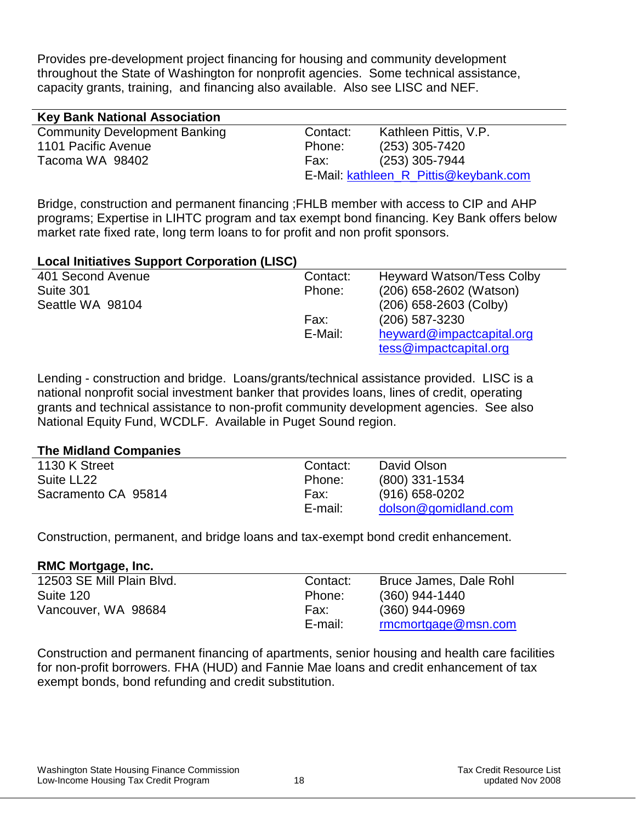Provides pre-development project financing for housing and community development throughout the State of Washington for nonprofit agencies. Some technical assistance, capacity grants, training, and financing also available. Also see LISC and NEF.

| <b>Key Bank National Association</b> |          |                                       |
|--------------------------------------|----------|---------------------------------------|
| <b>Community Development Banking</b> | Contact: | Kathleen Pittis, V.P.                 |
| 1101 Pacific Avenue                  | Phone:   | $(253)$ 305-7420                      |
| Tacoma WA 98402                      | Fax:     | (253) 305-7944                        |
|                                      |          | E-Mail: kathleen R Pittis@keybank.com |

Bridge, construction and permanent financing ;FHLB member with access to CIP and AHP programs; Expertise in LIHTC program and tax exempt bond financing. Key Bank offers below market rate fixed rate, long term loans to for profit and non profit sponsors.

# **Local Initiatives Support Corporation (LISC)**

| 401 Second Avenue | Contact: | <b>Heyward Watson/Tess Colby</b> |
|-------------------|----------|----------------------------------|
| Suite 301         | Phone:   | (206) 658-2602 (Watson)          |
| Seattle WA 98104  |          | $(206)$ 658-2603 (Colby)         |
|                   | Fax:     | $(206)$ 587-3230                 |
|                   | E-Mail:  | heyward@impactcapital.org        |
|                   |          | tess@impactcapital.org           |

Lending - construction and bridge. Loans/grants/technical assistance provided. LISC is a national nonprofit social investment banker that provides loans, lines of credit, operating grants and technical assistance to non-profit community development agencies. See also National Equity Fund, WCDLF. Available in Puget Sound region.

# **The Midland Companies**

| 1130 K Street<br>Suite LL22 | Contact:<br>Phone: | David Olson<br>$(800)$ 331-1534 |
|-----------------------------|--------------------|---------------------------------|
| Sacramento CA 95814         | Fax:               | $(916) 658 - 0202$              |
|                             | E-mail:            | dolson@gomidland.com            |

Construction, permanent, and bridge loans and tax-exempt bond credit enhancement.

## **RMC Mortgage, Inc.**

| 12503 SE Mill Plain Blvd. | Contact: | Bruce James, Dale Rohl |
|---------------------------|----------|------------------------|
| Suite 120                 | Phone:   | $(360)$ 944-1440       |
| Vancouver, WA 98684       | Fax:     | $(360)$ 944-0969       |
|                           | E-mail:  | rmcmortgage@msn.com    |
|                           |          |                        |

Construction and permanent financing of apartments, senior housing and health care facilities for non-profit borrowers. FHA (HUD) and Fannie Mae loans and credit enhancement of tax exempt bonds, bond refunding and credit substitution.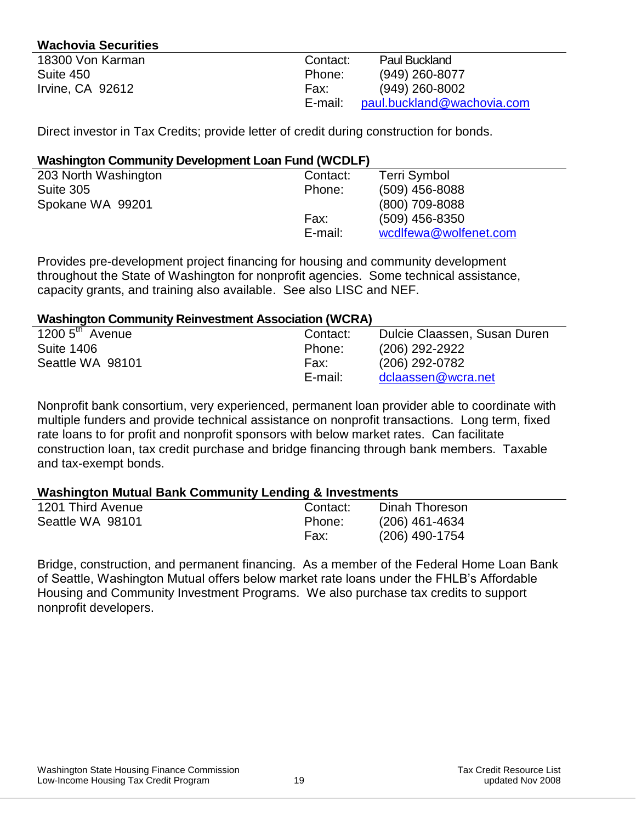# **Wachovia Securities**

| Contact: | <b>Paul Buckland</b>       |
|----------|----------------------------|
| Phone:   | (949) 260-8077             |
| Fax:     | $(949)$ 260-8002           |
| E-mail:  | paul.buckland@wachovia.com |
|          |                            |

Direct investor in Tax Credits; provide letter of credit during construction for bonds.

## **Washington Community Development Loan Fund (WCDLF)**

| 203 North Washington | Contact: | Terri Symbol          |
|----------------------|----------|-----------------------|
| Suite 305            | Phone:   | $(509)$ 456-8088      |
| Spokane WA 99201     |          | (800) 709-8088        |
|                      | Fax:     | $(509)$ 456-8350      |
|                      | E-mail:  | wcdlfewa@wolfenet.com |
|                      |          |                       |

Provides pre-development project financing for housing and community development throughout the State of Washington for nonprofit agencies. Some technical assistance, capacity grants, and training also available. See also LISC and NEF.

## **Washington Community Reinvestment Association (WCRA)**

| 1200 $5^{\text{th}}$ Avenue | Contact: | Dulcie Claassen, Susan Duren |
|-----------------------------|----------|------------------------------|
| <b>Suite 1406</b>           | Phone:   | (206) 292-2922               |
| Seattle WA 98101            | Fax:     | (206) 292-0782               |
|                             | E-mail:  | dclaassen@wcra.net           |
|                             |          |                              |

Nonprofit bank consortium, very experienced, permanent loan provider able to coordinate with multiple funders and provide technical assistance on nonprofit transactions. Long term, fixed rate loans to for profit and nonprofit sponsors with below market rates. Can facilitate construction loan, tax credit purchase and bridge financing through bank members. Taxable and tax-exempt bonds.

# **Washington Mutual Bank Community Lending & Investments**

| 1201 Third Avenue | Contact: | Dinah Thoreson |
|-------------------|----------|----------------|
| Seattle WA 98101  | Phone:   | (206) 461-4634 |
|                   | Fax:     | (206) 490-1754 |

Bridge, construction, and permanent financing. As a member of the Federal Home Loan Bank of Seattle, Washington Mutual offers below market rate loans under the FHLB's Affordable Housing and Community Investment Programs. We also purchase tax credits to support nonprofit developers.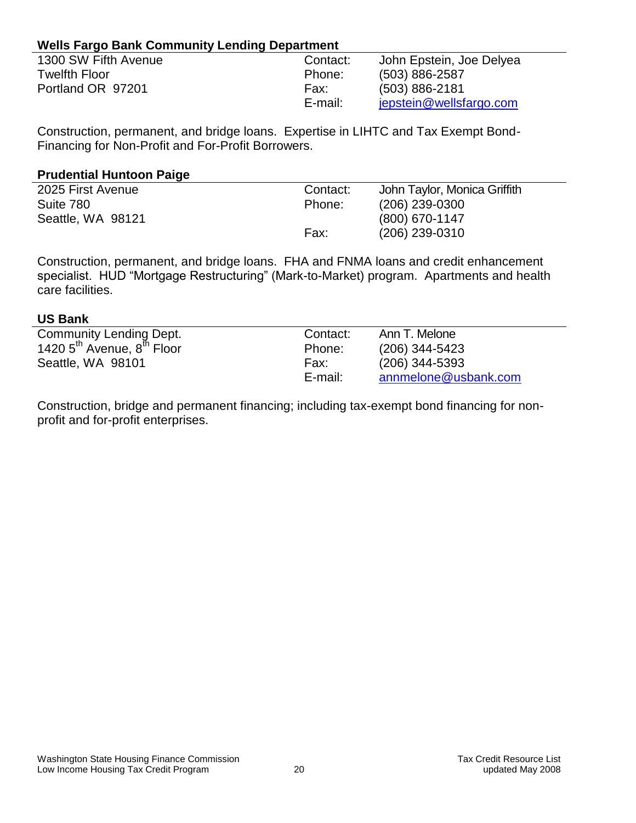# **Wells Fargo Bank Community Lending Department**

| Contact: | John Epstein, Joe Delyea |
|----------|--------------------------|
| Phone:   | $(503) 886 - 2587$       |
| Fax:     | $(503) 886 - 2181$       |
| E-mail:  | jepstein@wellsfargo.com  |
|          |                          |

Construction, permanent, and bridge loans. Expertise in LIHTC and Tax Exempt Bond-Financing for Non-Profit and For-Profit Borrowers.

# **Prudential Huntoon Paige**

| 2025 First Avenue | Contact: | John Taylor, Monica Griffith |
|-------------------|----------|------------------------------|
| Suite 780         | Phone:   | $(206)$ 239-0300             |
| Seattle, WA 98121 |          | (800) 670-1147               |
|                   | Fax:     | $(206)$ 239-0310             |

Construction, permanent, and bridge loans. FHA and FNMA loans and credit enhancement specialist. HUD "Mortgage Restructuring" (Mark-to-Market) program. Apartments and health care facilities.

## **US Bank**

| <b>Community Lending Dept.</b>                     | Contact: | Ann T. Melone        |
|----------------------------------------------------|----------|----------------------|
| 1420 5 <sup>th</sup> Avenue, 8 <sup>th</sup> Floor | Phone:   | $(206)$ 344-5423     |
| Seattle, WA 98101                                  | Fax:     | $(206)$ 344-5393     |
|                                                    | E-mail:  | annmelone@usbank.com |

Construction, bridge and permanent financing; including tax-exempt bond financing for nonprofit and for-profit enterprises.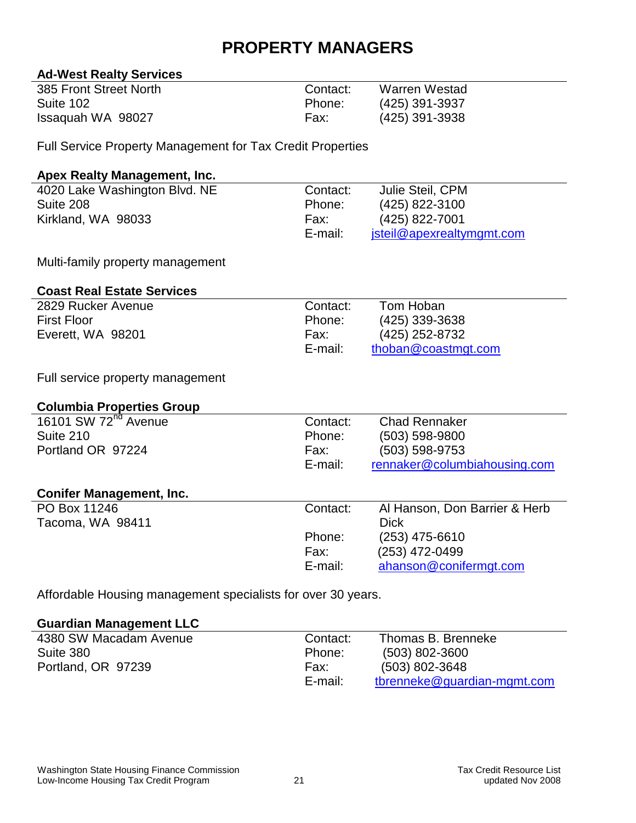# **PROPERTY MANAGERS**

# **Ad-West Realty Services**

| 385 Front Street North | Contact: | Warren Westad  |
|------------------------|----------|----------------|
| Suite 102              | Phone:   | (425) 391-3937 |
| Issaguah WA 98027      | Fax:     | (425) 391-3938 |

Full Service Property Management for Tax Credit Properties

# **Apex Realty Management, Inc.**

| 4020 Lake Washington Blvd. NE | Contact: | Julie Steil, CPM          |
|-------------------------------|----------|---------------------------|
| Suite 208                     | Phone:   | (425) 822-3100            |
| Kirkland, WA 98033            | Fax:     | (425) 822-7001            |
|                               | E-mail:  | jsteil@apexrealtymgmt.com |

Multi-family property management

## **Coast Real Estate Services**

| 2829 Rucker Avenue | Contact: | Tom Hoban           |
|--------------------|----------|---------------------|
| <b>First Floor</b> | Phone:   | (425) 339-3638      |
| Everett, WA 98201  | Fax:     | (425) 252-8732      |
|                    | E-mail:  | thoban@coastmgt.com |

Full service property management

## **Columbia Properties Group**

| 16101 SW 72 <sup>nd</sup> Avenue | Contact: | <b>Chad Rennaker</b>          |
|----------------------------------|----------|-------------------------------|
| Suite 210                        | Phone:   | (503) 598-9800                |
| Portland OR 97224                | Fax:     | (503) 598-9753                |
|                                  | E-mail:  | rennaker@columbiahousing.com  |
|                                  |          |                               |
| <b>Conifer Management, Inc.</b>  |          |                               |
| PO Box 11246                     | Contact: | Al Hanson, Don Barrier & Herb |
| Tacoma, WA 98411                 |          | <b>Dick</b>                   |
|                                  | Phone:   | $(253)$ 475-6610              |
|                                  | Fax:     | (253) 472-0499                |
|                                  | E-mail:  | ahanson@conifermgt.com        |
|                                  |          |                               |

Affordable Housing management specialists for over 30 years.

## **Guardian Management LLC**

| 4380 SW Macadam Avenue | Contact: | Thomas B. Brenneke          |
|------------------------|----------|-----------------------------|
| Suite 380              | Phone:   | $(503)$ 802-3600            |
| Portland, OR 97239     | Fax:     | $(503) 802 - 3648$          |
|                        | E-mail:  | tbrenneke@quardian-mgmt.com |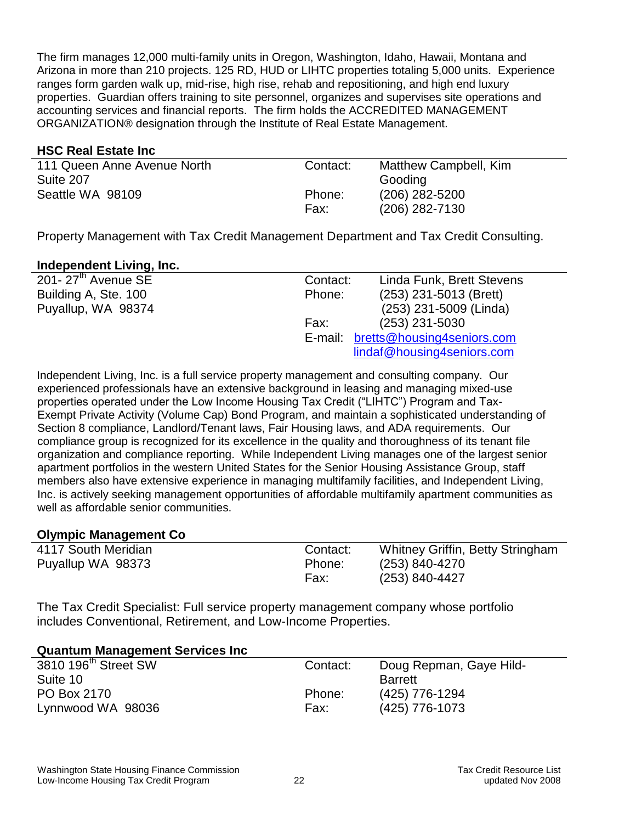The firm manages 12,000 multi-family units in Oregon, Washington, Idaho, Hawaii, Montana and Arizona in more than 210 projects. 125 RD, HUD or LIHTC properties totaling 5,000 units. Experience ranges form garden walk up, mid-rise, high rise, rehab and repositioning, and high end luxury properties. Guardian offers training to site personnel, organizes and supervises site operations and accounting services and financial reports. The firm holds the ACCREDITED MANAGEMENT ORGANIZATION® designation through the Institute of Real Estate Management.

# **HSC Real Estate Inc**

| 111 Queen Anne Avenue North<br>Suite 207 | Contact:       | Matthew Campbell, Kim<br>Gooding |
|------------------------------------------|----------------|----------------------------------|
| Seattle WA 98109                         | Phone:<br>Fax: | (206) 282-5200<br>(206) 282-7130 |

Property Management with Tax Credit Management Department and Tax Credit Consulting.

## **Independent Living, Inc.**

| . .                                |          |                                    |
|------------------------------------|----------|------------------------------------|
| $201 - 27$ <sup>th</sup> Avenue SE | Contact: | Linda Funk, Brett Stevens          |
| Building A, Ste. 100               | Phone:   | (253) 231-5013 (Brett)             |
| Puyallup, WA 98374                 |          | (253) 231-5009 (Linda)             |
|                                    | Fax:     | $(253)$ 231-5030                   |
|                                    |          | E-mail: bretts@housing4seniors.com |
|                                    |          | lindaf@housing4seniors.com         |
|                                    |          |                                    |

Independent Living, Inc. is a full service property management and consulting company. Our experienced professionals have an extensive background in leasing and managing mixed-use properties operated under the Low Income Housing Tax Credit ("LIHTC") Program and Tax-Exempt Private Activity (Volume Cap) Bond Program, and maintain a sophisticated understanding of Section 8 compliance, Landlord/Tenant laws, Fair Housing laws, and ADA requirements. Our compliance group is recognized for its excellence in the quality and thoroughness of its tenant file organization and compliance reporting. While Independent Living manages one of the largest senior apartment portfolios in the western United States for the Senior Housing Assistance Group, staff members also have extensive experience in managing multifamily facilities, and Independent Living, Inc. is actively seeking management opportunities of affordable multifamily apartment communities as well as affordable senior communities.

# **Olympic Management Co**

| 4117 South Meridian | Contact: | Whitney Griffin, Betty Stringham |
|---------------------|----------|----------------------------------|
| Puyallup WA 98373   | Phone:   | $(253) 840 - 4270$               |
|                     | Fax:     | $(253) 840 - 4427$               |

The Tax Credit Specialist: Full service property management company whose portfolio includes Conventional, Retirement, and Low-Income Properties.

| <b>Quantum Management Services Inc.</b> |          |                         |
|-----------------------------------------|----------|-------------------------|
| 3810 196 <sup>th</sup> Street SW        | Contact: | Doug Repman, Gaye Hild- |
| Suite 10                                |          | <b>Barrett</b>          |
| PO Box 2170                             | Phone:   | (425) 776-1294          |
| Lynnwood WA 98036                       | Fax:     | (425) 776-1073          |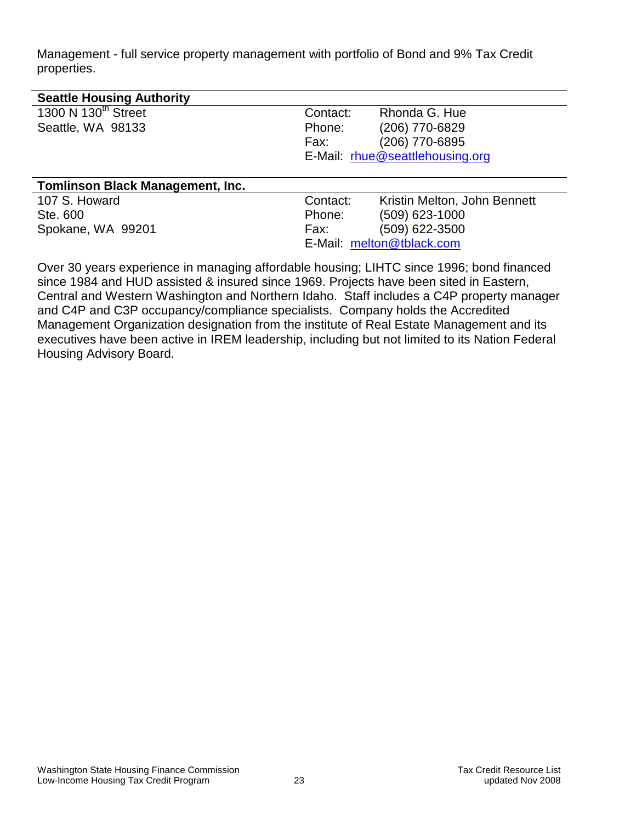Management - full service property management with portfolio of Bond and 9% Tax Credit properties.

| <b>Seattle Housing Authority</b>        |          |                                 |
|-----------------------------------------|----------|---------------------------------|
| 1300 N 130 <sup>th</sup> Street         | Contact: | Rhonda G. Hue                   |
| Seattle, WA 98133                       | Phone:   | (206) 770-6829                  |
|                                         | Fax:     | (206) 770-6895                  |
|                                         |          | E-Mail: rhue@seattlehousing.org |
|                                         |          |                                 |
| <b>Tomlinson Black Management, Inc.</b> |          |                                 |
| 107 S. Howard                           | Contact: | Kristin Melton, John Bennett    |
| Ste. 600                                | Phone:   | (509) 623-1000                  |
| Spokane, WA 99201                       | Fax:     | (509) 622-3500                  |
|                                         |          | E-Mail: melton@tblack.com       |

Over 30 years experience in managing affordable housing; LIHTC since 1996; bond financed since 1984 and HUD assisted & insured since 1969. Projects have been sited in Eastern, Central and Western Washington and Northern Idaho. Staff includes a C4P property manager and C4P and C3P occupancy/compliance specialists. Company holds the Accredited Management Organization designation from the institute of Real Estate Management and its executives have been active in IREM leadership, including but not limited to its Nation Federal Housing Advisory Board.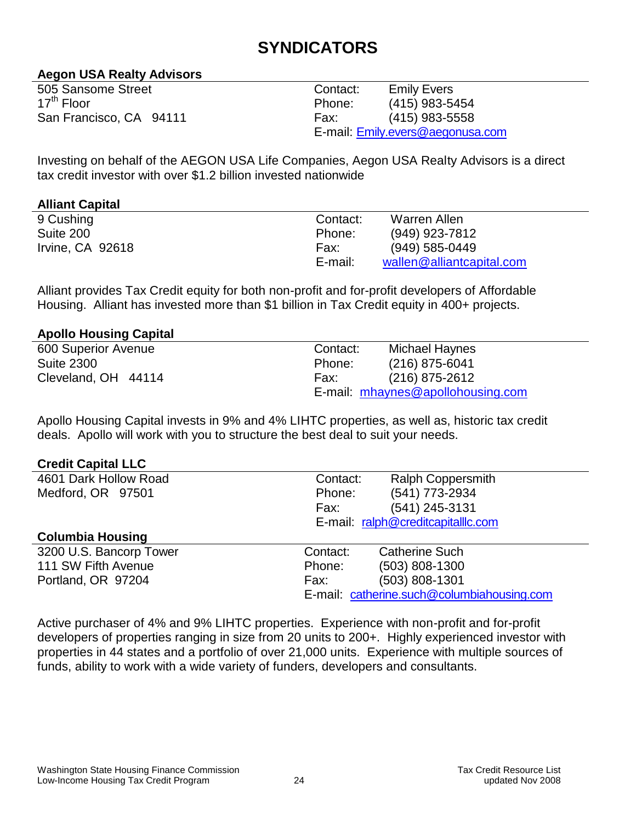# **SYNDICATORS**

# **Aegon USA Realty Advisors**

| 505 Sansome Street      | Contact: | <b>Emily Evers</b>               |
|-------------------------|----------|----------------------------------|
| $17^{\text{th}}$ Floor  | Phone:   | (415) 983-5454                   |
| San Francisco, CA 94111 | Fax:     | (415) 983-5558                   |
|                         |          | E-mail: Emily.evers@aegonusa.com |

Investing on behalf of the AEGON USA Life Companies, Aegon USA Realty Advisors is a direct tax credit investor with over \$1.2 billion invested nationwide

## **Alliant Capital**

 $\overline{1}$ 

| 9 Cushing        | Contact: |
|------------------|----------|
| Suite 200        | Phone:   |
| Irvine, CA 92618 | Fax:     |
|                  | E-mail:  |

Warren Allen (949) 923-7812 (949) 585-0449 [wallen@alliantcapital.com](mailto:wallen@alliantcapital.com)

Alliant provides Tax Credit equity for both non-profit and for-profit developers of Affordable Housing. Alliant has invested more than \$1 billion in Tax Credit equity in 400+ projects.

## **Apollo Housing Capital**

| 600 Superior Avenue | Contact: | Michael Haynes                    |
|---------------------|----------|-----------------------------------|
| <b>Suite 2300</b>   | Phone:   | $(216)$ 875-6041                  |
| Cleveland, OH 44114 | Fax:     | $(216)$ 875-2612                  |
|                     |          | E-mail: mhaynes@apollohousing.com |
|                     |          |                                   |

Apollo Housing Capital invests in 9% and 4% LIHTC properties, as well as, historic tax credit deals. Apollo will work with you to structure the best deal to suit your needs.

## **Credit Capital LLC**

| 4601 Dark Hollow Road   | Contact: | <b>Ralph Coppersmith</b>                   |
|-------------------------|----------|--------------------------------------------|
| Medford, OR 97501       | Phone:   | (541) 773-2934                             |
|                         | Fax:     | (541) 245-3131                             |
|                         |          | E-mail: ralph@creditcapitalllc.com         |
| <b>Columbia Housing</b> |          |                                            |
| 3200 U.S. Bancorp Tower | Contact: | <b>Catherine Such</b>                      |
| 111 SW Fifth Avenue     | Phone:   | $(503)$ 808-1300                           |
| Portland, OR 97204      | Fax:     | (503) 808-1301                             |
|                         |          | E-mail: catherine.such@columbiahousing.com |
|                         |          |                                            |

Active purchaser of 4% and 9% LIHTC properties. Experience with non-profit and for-profit developers of properties ranging in size from 20 units to 200+. Highly experienced investor with properties in 44 states and a portfolio of over 21,000 units. Experience with multiple sources of funds, ability to work with a wide variety of funders, developers and consultants.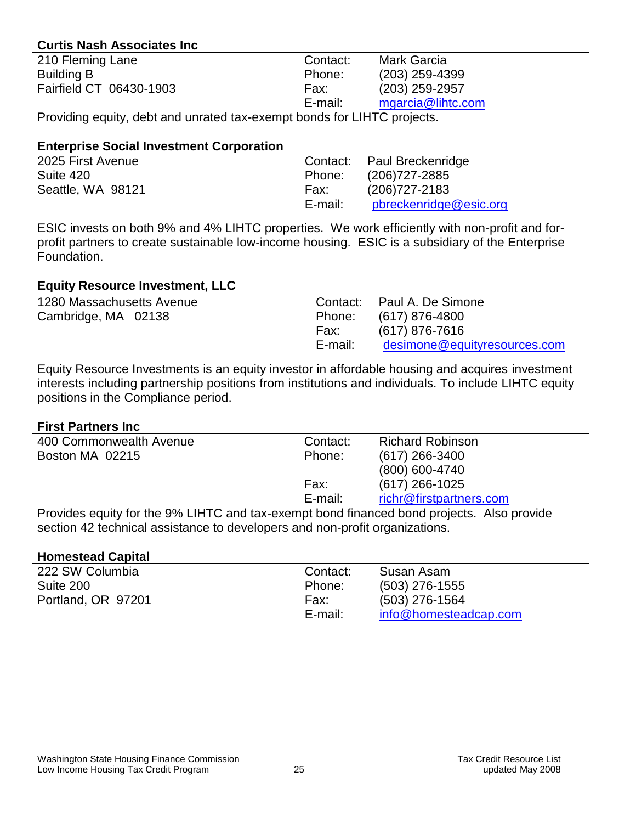# **Curtis Nash Associates Inc**

| 210 Fleming Lane                                                             | Contact: | <b>Mark Garcia</b> |
|------------------------------------------------------------------------------|----------|--------------------|
| Building B                                                                   | Phone:   | $(203)$ 259-4399   |
| Fairfield CT 06430-1903                                                      | Fax:     | $(203)$ 259-2957   |
|                                                                              | E-mail:  | mgarcia@lihtc.com  |
| <b>Droviding caught dobt and uprated tax exampt bonds for LIHTC projects</b> |          |                    |

Providing equity, debt and unrated tax-exempt bonds for LIHTC projects.

| <b>Enterprise Social Investment Corporation</b> |          |                          |
|-------------------------------------------------|----------|--------------------------|
| 2025 First Avenue                               | Contact: | <b>Paul Breckenridge</b> |
| Suite 420                                       | Phone:   | (206) 727-2885           |
| Seattle, WA 98121                               | Fax:     | (206) 727-2183           |
|                                                 | E-mail:  | pbreckenridge@esic.org   |

ESIC invests on both 9% and 4% LIHTC properties. We work efficiently with non-profit and forprofit partners to create sustainable low-income housing. ESIC is a subsidiary of the Enterprise Foundation.

# **Equity Resource Investment, LLC**

| 1280 Massachusetts Avenue |         | Contact: Paul A. De Simone   |
|---------------------------|---------|------------------------------|
| Cambridge, MA 02138       |         | Phone: (617) 876-4800        |
|                           | Fax:    | (617) 876-7616               |
|                           | E-mail: | desimone@equityresources.com |

Equity Resource Investments is an equity investor in affordable housing and acquires investment interests including partnership positions from institutions and individuals. To include LIHTC equity positions in the Compliance period.

# **First Partners Inc**

| 400 Commonwealth Avenue                                                                     | Contact: | <b>Richard Robinson</b> |  |  |
|---------------------------------------------------------------------------------------------|----------|-------------------------|--|--|
| Boston MA 02215                                                                             | Phone:   | (617) 266-3400          |  |  |
|                                                                                             |          | $(800)$ 600-4740        |  |  |
|                                                                                             | Fax:     | $(617)$ 266-1025        |  |  |
|                                                                                             | E-mail:  | richr@firstpartners.com |  |  |
| Provides equity for the 9% LIHTC and tay-everyort bond financed bond projects. Also provide |          |                         |  |  |

Provides equity for the 9% LIHTC and tax-exempt bond financed bond projects. Also provide section 42 technical assistance to developers and non-profit organizations.

## **Homestead Capital**

| info@homesteadcap.com |
|-----------------------|
|                       |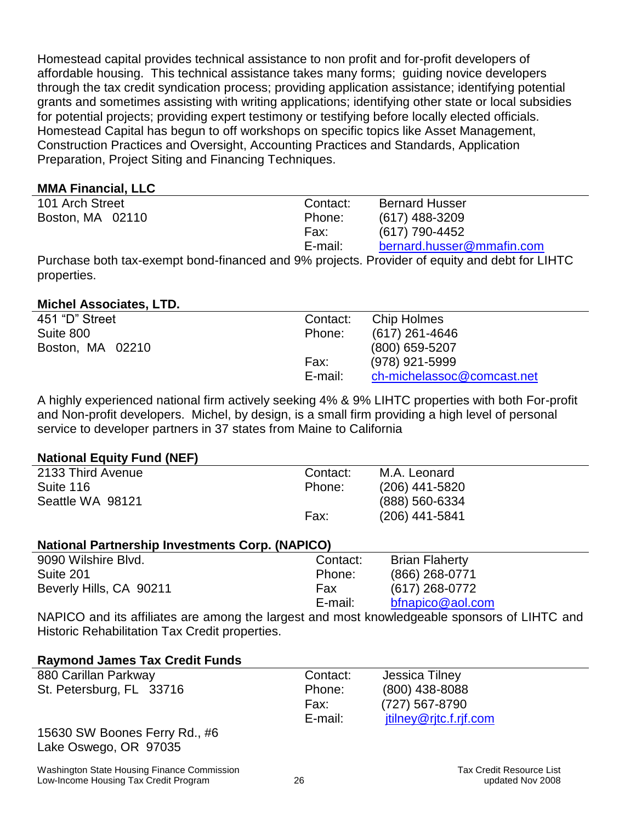Homestead capital provides technical assistance to non profit and for-profit developers of affordable housing. This technical assistance takes many forms; guiding novice developers through the tax credit syndication process; providing application assistance; identifying potential grants and sometimes assisting with writing applications; identifying other state or local subsidies for potential projects; providing expert testimony or testifying before locally elected officials. Homestead Capital has begun to off workshops on specific topics like Asset Management, Construction Practices and Oversight, Accounting Practices and Standards, Application Preparation, Project Siting and Financing Techniques.

## **MMA Financial, LLC**

| 101 Arch Street                                                                                | Contact: | <b>Bernard Husser</b>     |
|------------------------------------------------------------------------------------------------|----------|---------------------------|
| Boston, MA 02110                                                                               | Phone:   | $(617)$ 488-3209          |
|                                                                                                | Fax:     | (617) 790-4452            |
|                                                                                                | E-mail:  | bernard.husser@mmafin.com |
| Purchase both tax-exempt bond-financed and 9% projects. Provider of equity and debt for LIHTC. |          |                           |

 $\tt phase$  both tax-exempt bond-financed and 9% projects. Provider or equity and debt for LIHTC properties.

## **Michel Associates, LTD.**

| 451 "D" Street   | Contact: | Chip Holmes                |
|------------------|----------|----------------------------|
| Suite 800        | Phone:   | (617) 261-4646             |
| Boston, MA 02210 |          | $(800)$ 659-5207           |
|                  | Fax:     | (978) 921-5999             |
|                  | E-mail:  | ch-michelassoc@comcast.net |
|                  |          |                            |

A highly experienced national firm actively seeking 4% & 9% LIHTC properties with both For-profit and Non-profit developers. Michel, by design, is a small firm providing a high level of personal service to developer partners in 37 states from Maine to California

## **National Equity Fund (NEF)**

| 2133 Third Avenue | Contact: | M.A. Leonard     |
|-------------------|----------|------------------|
| Suite 116         | Phone:   | $(206)$ 441-5820 |
| Seattle WA 98121  |          | (888) 560-6334   |
|                   | Fax:     | $(206)$ 441-5841 |
|                   |          |                  |

## **National Partnership Investments Corp. (NAPICO)**

| 9090 Wilshire Blvd.                                                                                                                                                                                                                                                                                                                                                                                                          | Contact: | <b>Brian Flaherty</b> |
|------------------------------------------------------------------------------------------------------------------------------------------------------------------------------------------------------------------------------------------------------------------------------------------------------------------------------------------------------------------------------------------------------------------------------|----------|-----------------------|
| Suite 201                                                                                                                                                                                                                                                                                                                                                                                                                    | Phone:   | $(866)$ 268-0771      |
| Beverly Hills, CA 90211                                                                                                                                                                                                                                                                                                                                                                                                      | Fax      | (617) 268-0772        |
|                                                                                                                                                                                                                                                                                                                                                                                                                              | E-mail:  | bfnapico@aol.com      |
| $\mathbf{M} = \mathbf{M} = \mathbf{M} = \mathbf{M} = \mathbf{M} = \mathbf{M} = \mathbf{M} = \mathbf{M} = \mathbf{M} = \mathbf{M} = \mathbf{M} = \mathbf{M} = \mathbf{M} = \mathbf{M} = \mathbf{M} = \mathbf{M} = \mathbf{M} = \mathbf{M} = \mathbf{M} = \mathbf{M} = \mathbf{M} = \mathbf{M} = \mathbf{M} = \mathbf{M} = \mathbf{M} = \mathbf{M} = \mathbf{M} = \mathbf{M} = \mathbf{M} = \mathbf{M} = \mathbf{M} = \mathbf$ |          |                       |

NAPICO and its affiliates are among the largest and most knowledgeable sponsors of LIHTC and Historic Rehabilitation Tax Credit properties.

## **Raymond James Tax Credit Funds**

| 880 Carillan Parkway     | Contact: | Jessica Tilney                       |
|--------------------------|----------|--------------------------------------|
| St. Petersburg, FL 33716 | Phone:   | $(800)$ 438-8088                     |
|                          | Fax:     | (727) 567-8790                       |
|                          | E-mail:  | $\mathsf{ifilney@r}$ rite.f. rif.com |
|                          |          |                                      |

15630 SW Boones Ferry Rd., #6 Lake Oswego, OR 97035